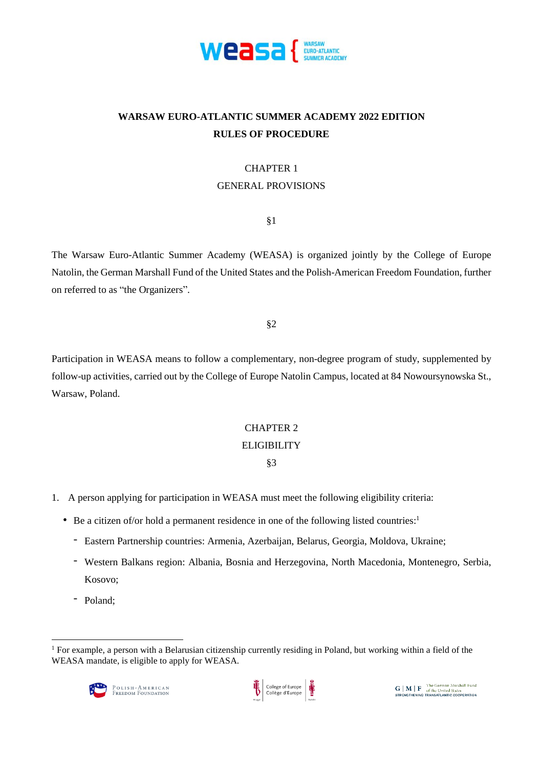

# **WARSAW EURO-ATLANTIC SUMMER ACADEMY 2022 EDITION RULES OF PROCEDURE**

### CHAPTER 1

## GENERAL PROVISIONS

§1

The Warsaw Euro-Atlantic Summer Academy (WEASA) is organized jointly by the College of Europe Natolin, the German Marshall Fund of the United States and the Polish-American Freedom Foundation, further on referred to as "the Organizers".

§2

Participation in WEASA means to follow a complementary, non-degree program of study, supplemented by follow-up activities, carried out by the College of Europe Natolin Campus, located at 84 Nowoursynowska St., Warsaw, Poland.

# CHAPTER 2

# ELIGIBILITY

# §3

- 1. A person applying for participation in WEASA must meet the following eligibility criteria:
	- Be a citizen of/or hold a permanent residence in one of the following listed countries: 1
		- Eastern Partnership countries: Armenia, Azerbaijan, Belarus, Georgia, Moldova, Ukraine;
		- Western Balkans region: Albania, Bosnia and Herzegovina, North Macedonia, Montenegro, Serbia, Kosovo;
		- Poland;

1

<sup>1</sup> For example, a person with a Belarusian citizenship currently residing in Poland, but working within a field of the WEASA mandate, is eligible to apply for WEASA.



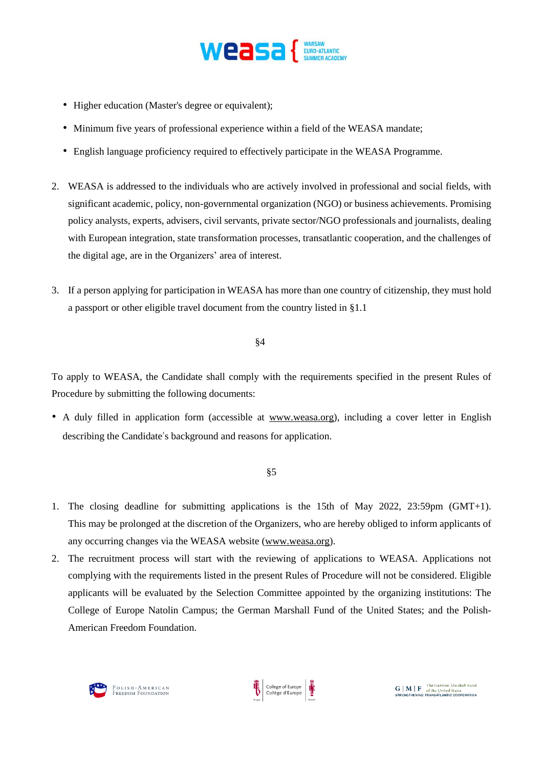

- Higher education (Master's degree or equivalent);
- Minimum five years of professional experience within a field of the WEASA mandate;
- English language proficiency required to effectively participate in the WEASA Programme.
- 2. WEASA is addressed to the individuals who are actively involved in professional and social fields, with significant academic, policy, non-governmental organization (NGO) or business achievements. Promising policy analysts, experts, advisers, civil servants, private sector/NGO professionals and journalists, dealing with European integration, state transformation processes, transatlantic cooperation, and the challenges of the digital age, are in the Organizers' area of interest.
- 3. If a person applying for participation in WEASA has more than one country of citizenship, they must hold a passport or other eligible travel document from the country listed in §1.1

#### §4

To apply to WEASA, the Candidate shall comply with the requirements specified in the present Rules of Procedure by submitting the following documents:

• A duly filled in application form (accessible at [www.weasa.org\)](http://www.weasa.org/), including a cover letter in English describing the Candidate's background and reasons for application.

#### §5

- 1. The closing deadline for submitting applications is the 15th of May 2022, 23:59pm (GMT+1). This may be prolonged at the discretion of the Organizers, who are hereby obliged to inform applicants of any occurring changes via the WEASA website [\(www.weasa.org\)](http://www.weasa.org/).
- 2. The recruitment process will start with the reviewing of applications to WEASA. Applications not complying with the requirements listed in the present Rules of Procedure will not be considered. Eligible applicants will be evaluated by the Selection Committee appointed by the organizing institutions: The College of Europe Natolin Campus; the German Marshall Fund of the United States; and the Polish-American Freedom Foundation.

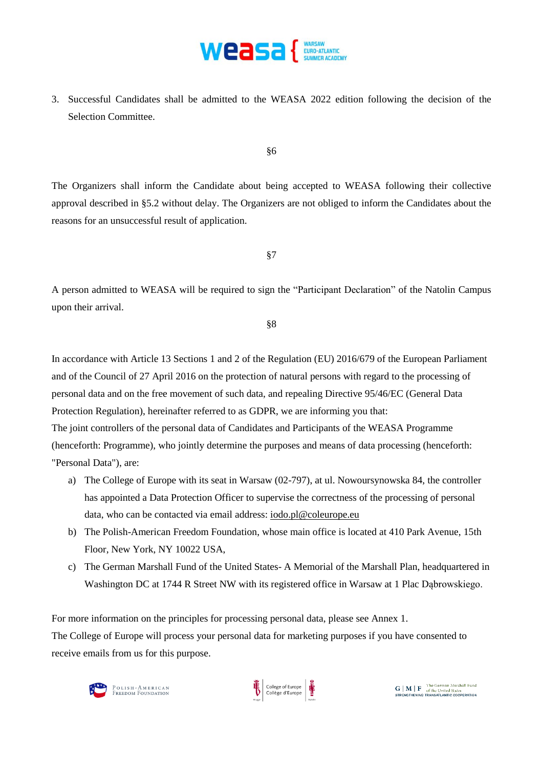

3. Successful Candidates shall be admitted to the WEASA 2022 edition following the decision of the Selection Committee.

§6

The Organizers shall inform the Candidate about being accepted to WEASA following their collective approval described in §5.2 without delay. The Organizers are not obliged to inform the Candidates about the reasons for an unsuccessful result of application.

§7

A person admitted to WEASA will be required to sign the "Participant Declaration" of the Natolin Campus upon their arrival.

§8

In accordance with Article 13 Sections 1 and 2 of the Regulation (EU) 2016/679 of the European Parliament and of the Council of 27 April 2016 on the protection of natural persons with regard to the processing of personal data and on the free movement of such data, and repealing Directive 95/46/EC (General Data Protection Regulation), hereinafter referred to as GDPR, we are informing you that: The joint controllers of the personal data of Candidates and Participants of the WEASA Programme (henceforth: Programme), who jointly determine the purposes and means of data processing (henceforth: "Personal Data"), are:

- a) The College of Europe with its seat in Warsaw (02-797), at ul. Nowoursynowska 84, the controller has appointed a Data Protection Officer to supervise the correctness of the processing of personal data, who can be contacted via email address: [iodo.pl@coleurope.eu](mailto:iodo.pl@coleurope.eu)
- b) The Polish-American Freedom Foundation, whose main office is located at 410 Park Avenue, 15th Floor, New York, NY 10022 USA,
- c) The German Marshall Fund of the United States- A Memorial of the Marshall Plan, headquartered in Washington DC at 1744 R Street NW with its registered office in Warsaw at 1 Plac Dabrowskiego.

For more information on the principles for processing personal data, please see Annex 1. The College of Europe will process your personal data for marketing purposes if you have consented to receive emails from us for this purpose.



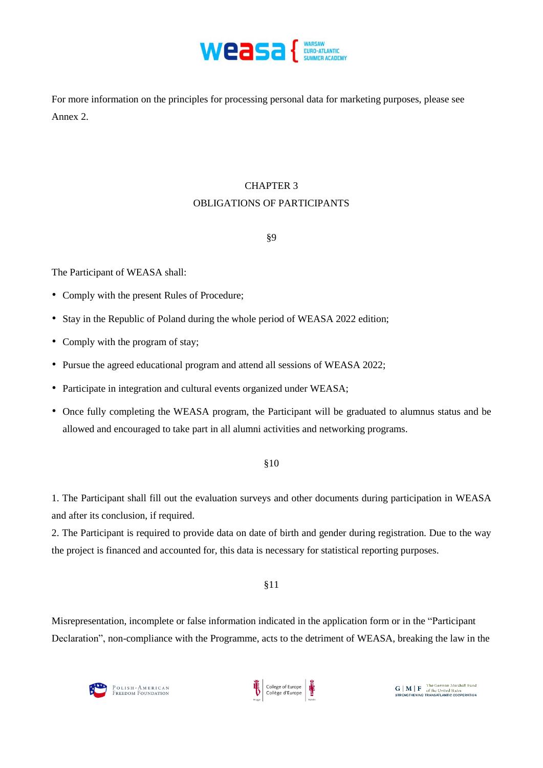

For more information on the principles for processing personal data for marketing purposes, please see Annex 2.

# CHAPTER 3 OBLIGATIONS OF PARTICIPANTS

# §9

The Participant of WEASA shall:

- Comply with the present Rules of Procedure;
- Stay in the Republic of Poland during the whole period of WEASA 2022 edition;
- Comply with the program of stay;
- Pursue the agreed educational program and attend all sessions of WEASA 2022;
- Participate in integration and cultural events organized under WEASA;
- Once fully completing the WEASA program, the Participant will be graduated to alumnus status and be allowed and encouraged to take part in all alumni activities and networking programs.

#### §10

1. The Participant shall fill out the evaluation surveys and other documents during participation in WEASA and after its conclusion, if required.

2. The Participant is required to provide data on date of birth and gender during registration. Due to the way the project is financed and accounted for, this data is necessary for statistical reporting purposes.

#### §11

Misrepresentation, incomplete or false information indicated in the application form or in the "Participant Declaration", non-compliance with the Programme, acts to the detriment of WEASA, breaking the law in the

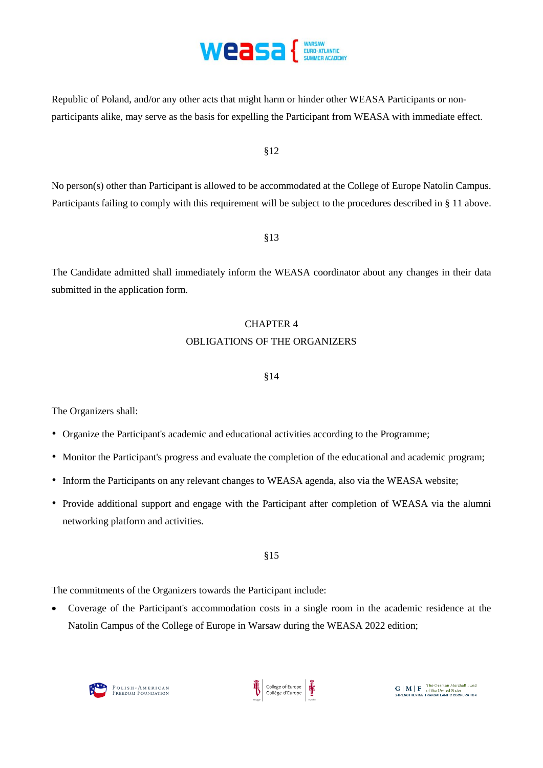

Republic of Poland, and/or any other acts that might harm or hinder other WEASA Participants or nonparticipants alike, may serve as the basis for expelling the Participant from WEASA with immediate effect.

§12

No person(s) other than Participant is allowed to be accommodated at the College of Europe Natolin Campus. Participants failing to comply with this requirement will be subject to the procedures described in § 11 above.

§13

The Candidate admitted shall immediately inform the WEASA coordinator about any changes in their data submitted in the application form.

# CHAPTER 4 OBLIGATIONS OF THE ORGANIZERS

### §14

The Organizers shall:

- Organize the Participant's academic and educational activities according to the Programme;
- Monitor the Participant's progress and evaluate the completion of the educational and academic program;
- Inform the Participants on any relevant changes to WEASA agenda, also via the WEASA website;
- Provide additional support and engage with the Participant after completion of WEASA via the alumni networking platform and activities.

# §15

The commitments of the Organizers towards the Participant include:

 Coverage of the Participant's accommodation costs in a single room in the academic residence at the Natolin Campus of the College of Europe in Warsaw during the WEASA 2022 edition;



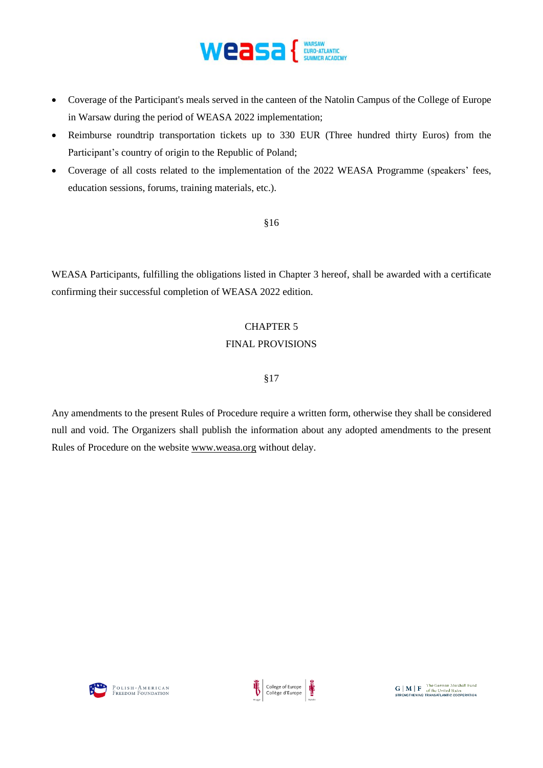

- Coverage of the Participant's meals served in the canteen of the Natolin Campus of the College of Europe in Warsaw during the period of WEASA 2022 implementation;
- Reimburse roundtrip transportation tickets up to 330 EUR (Three hundred thirty Euros) from the Participant's country of origin to the Republic of Poland;
- Coverage of all costs related to the implementation of the 2022 WEASA Programme (speakers' fees, education sessions, forums, training materials, etc.).

§16

WEASA Participants, fulfilling the obligations listed in Chapter 3 hereof, shall be awarded with a certificate confirming their successful completion of WEASA 2022 edition.

# CHAPTER 5 FINAL PROVISIONS

# §17

Any amendments to the present Rules of Procedure require a written form, otherwise they shall be considered null and void. The Organizers shall publish the information about any adopted amendments to the present Rules of Procedure on the website [www.weasa.org](http://www.weasa.org/) without delay.



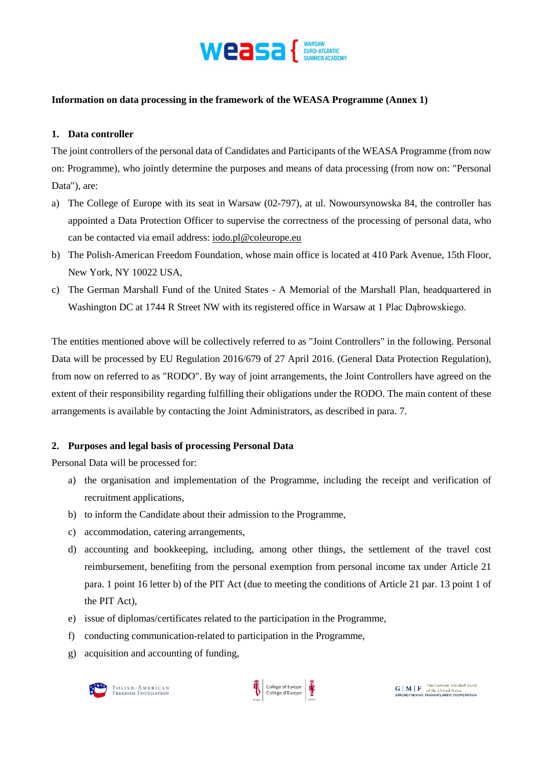

## **Information on data processing in the framework of the WEASA Programme (Annex 1)**

### **1. Data controller**

The joint controllers of the personal data of Candidates and Participants of the WEASA Programme (from now on: Programme), who jointly determine the purposes and means of data processing (from now on: "Personal Data"), are:

- a) The College of Europe with its seat in Warsaw (02-797), at ul. Nowoursynowska 84, the controller has appointed a Data Protection Officer to supervise the correctness of the processing of personal data, who can be contacted via email address: [iodo.pl@coleurope.eu](mailto:iodo.pl@coleurope.eu)
- b) The Polish-American Freedom Foundation, whose main office is located at 410 Park Avenue, 15th Floor, New York, NY 10022 USA,
- c) The German Marshall Fund of the United States A Memorial of the Marshall Plan, headquartered in Washington DC at 1744 R Street NW with its registered office in Warsaw at 1 Plac Dabrowskiego.

The entities mentioned above will be collectively referred to as "Joint Controllers" in the following. Personal Data will be processed by EU Regulation 2016/679 of 27 April 2016. (General Data Protection Regulation), from now on referred to as "RODO". By way of joint arrangements, the Joint Controllers have agreed on the extent of their responsibility regarding fulfilling their obligations under the RODO. The main content of these arrangements is available by contacting the Joint Administrators, as described in para. 7.

# **2. Purposes and legal basis of processing Personal Data**

Personal Data will be processed for:

- a) the organisation and implementation of the Programme, including the receipt and verification of recruitment applications,
- b) to inform the Candidate about their admission to the Programme,
- c) accommodation, catering arrangements,
- d) accounting and bookkeeping, including, among other things, the settlement of the travel cost reimbursement, benefiting from the personal exemption from personal income tax under Article 21 para. 1 point 16 letter b) of the PIT Act (due to meeting the conditions of Article 21 par. 13 point 1 of the PIT Act),
- e) issue of diplomas/certificates related to the participation in the Programme,
- f) conducting communication-related to participation in the Programme,
- g) acquisition and accounting of funding,



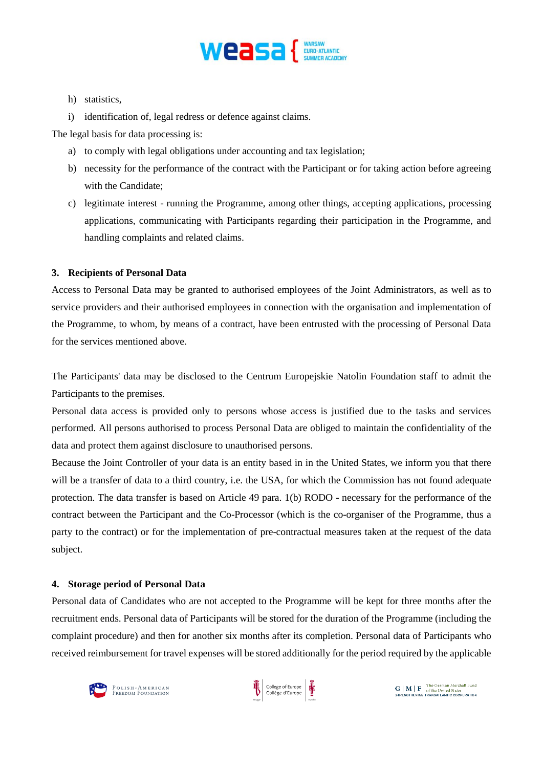

- h) statistics,
- i) identification of, legal redress or defence against claims.

The legal basis for data processing is:

- a) to comply with legal obligations under accounting and tax legislation;
- b) necessity for the performance of the contract with the Participant or for taking action before agreeing with the Candidate;
- c) legitimate interest running the Programme, among other things, accepting applications, processing applications, communicating with Participants regarding their participation in the Programme, and handling complaints and related claims.

### **3. Recipients of Personal Data**

Access to Personal Data may be granted to authorised employees of the Joint Administrators, as well as to service providers and their authorised employees in connection with the organisation and implementation of the Programme, to whom, by means of a contract, have been entrusted with the processing of Personal Data for the services mentioned above.

The Participants' data may be disclosed to the Centrum Europejskie Natolin Foundation staff to admit the Participants to the premises.

Personal data access is provided only to persons whose access is justified due to the tasks and services performed. All persons authorised to process Personal Data are obliged to maintain the confidentiality of the data and protect them against disclosure to unauthorised persons.

Because the Joint Controller of your data is an entity based in in the United States, we inform you that there will be a transfer of data to a third country, i.e. the USA, for which the Commission has not found adequate protection. The data transfer is based on Article 49 para. 1(b) RODO - necessary for the performance of the contract between the Participant and the Co-Processor (which is the co-organiser of the Programme, thus a party to the contract) or for the implementation of pre-contractual measures taken at the request of the data subject.

#### **4. Storage period of Personal Data**

Personal data of Candidates who are not accepted to the Programme will be kept for three months after the recruitment ends. Personal data of Participants will be stored for the duration of the Programme (including the complaint procedure) and then for another six months after its completion. Personal data of Participants who received reimbursement for travel expenses will be stored additionally for the period required by the applicable



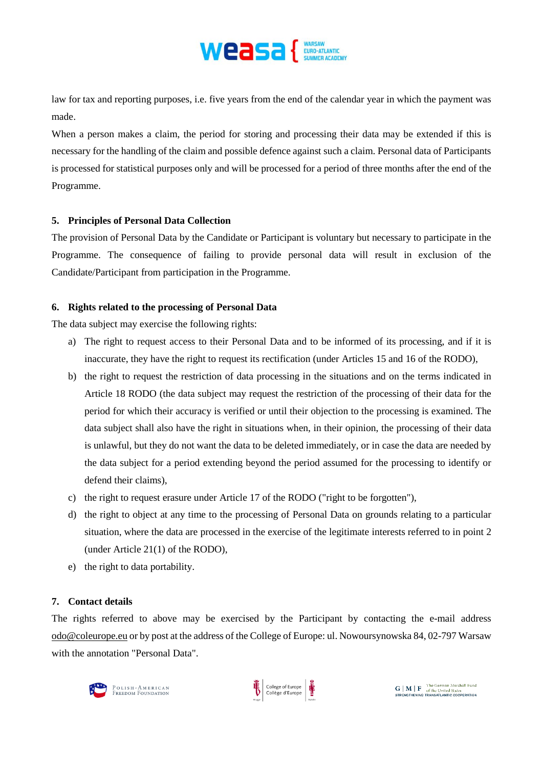

law for tax and reporting purposes, i.e. five years from the end of the calendar year in which the payment was made.

When a person makes a claim, the period for storing and processing their data may be extended if this is necessary for the handling of the claim and possible defence against such a claim. Personal data of Participants is processed for statistical purposes only and will be processed for a period of three months after the end of the Programme.

### **5. Principles of Personal Data Collection**

The provision of Personal Data by the Candidate or Participant is voluntary but necessary to participate in the Programme. The consequence of failing to provide personal data will result in exclusion of the Candidate/Participant from participation in the Programme.

# **6. Rights related to the processing of Personal Data**

The data subject may exercise the following rights:

- a) The right to request access to their Personal Data and to be informed of its processing, and if it is inaccurate, they have the right to request its rectification (under Articles 15 and 16 of the RODO),
- b) the right to request the restriction of data processing in the situations and on the terms indicated in Article 18 RODO (the data subject may request the restriction of the processing of their data for the period for which their accuracy is verified or until their objection to the processing is examined. The data subject shall also have the right in situations when, in their opinion, the processing of their data is unlawful, but they do not want the data to be deleted immediately, or in case the data are needed by the data subject for a period extending beyond the period assumed for the processing to identify or defend their claims),
- c) the right to request erasure under Article 17 of the RODO ("right to be forgotten"),
- d) the right to object at any time to the processing of Personal Data on grounds relating to a particular situation, where the data are processed in the exercise of the legitimate interests referred to in point 2 (under Article 21(1) of the RODO),
- e) the right to data portability.

# **7. Contact details**

The rights referred to above may be exercised by the Participant by contacting the e-mail address [odo@coleurope.eu](mailto:odo@coleurope.eu) or by post at the address of the College of Europe: ul. Nowoursynowska 84, 02-797 Warsaw with the annotation "Personal Data".



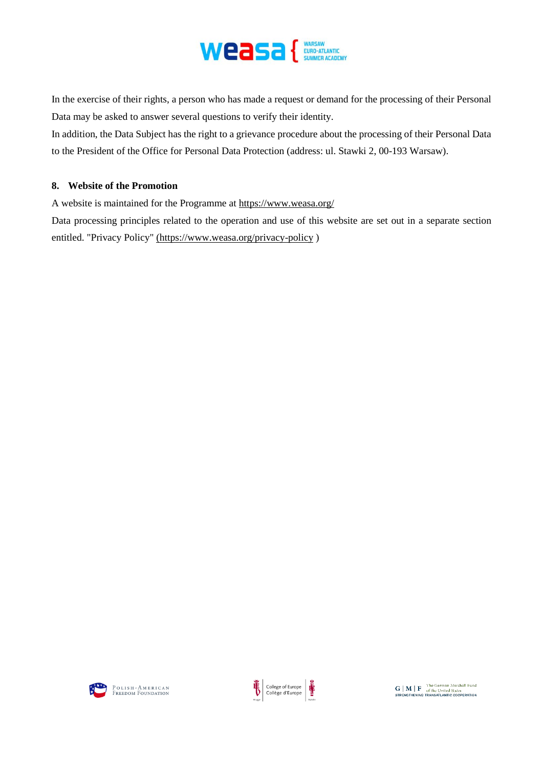

In the exercise of their rights, a person who has made a request or demand for the processing of their Personal Data may be asked to answer several questions to verify their identity.

In addition, the Data Subject has the right to a grievance procedure about the processing of their Personal Data to the President of the Office for Personal Data Protection (address: ul. Stawki 2, 00-193 Warsaw).

## **8. Website of the Promotion**

A website is maintained for the Programme at <https://www.weasa.org/>

Data processing principles related to the operation and use of this website are set out in a separate section entitled. "Privacy Policy" [\(https://www.weasa.org/privacy-policy](https://www.weasa.org/privacy-policy) )